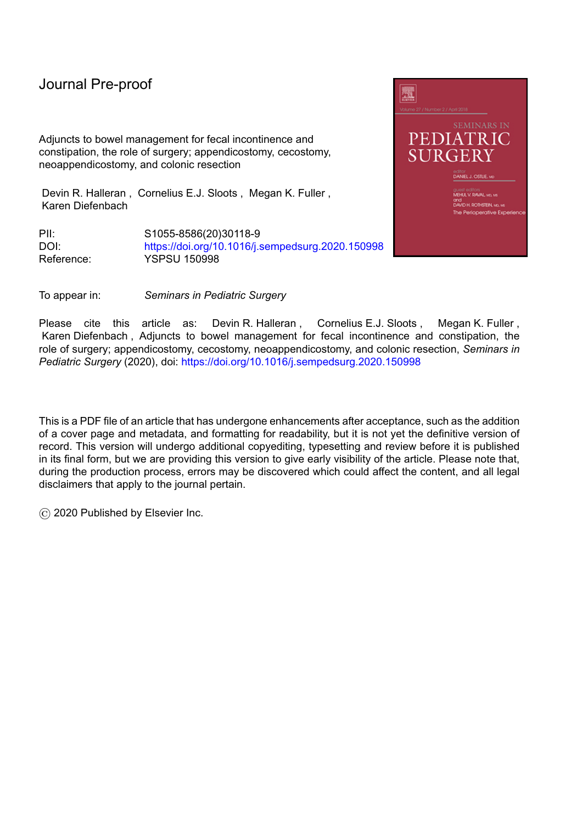Adjuncts to bowel management for fecal incontinence and constipation, the role of surgery; appendicostomy, cecostomy, neoappendicostomy, and colonic resection

Devin R. Halleran , Cornelius E.J. Sloots , Megan K. Fuller , Karen Diefenbach

PII: S1055-8586(20)30118-9 DOI: <https://doi.org/10.1016/j.sempedsurg.2020.150998> Reference: YSPSU 150998



To appear in: *Seminars in Pediatric Surgery*

Please cite this article as: Devin R. Halleran, Cornelius E.J. Sloots, Megan K. Fuller, Karen Diefenbach , Adjuncts to bowel management for fecal incontinence and constipation, the role of surgery; appendicostomy, cecostomy, neoappendicostomy, and colonic resection, *Seminars in Pediatric Surgery* (2020), doi: <https://doi.org/10.1016/j.sempedsurg.2020.150998>

This is a PDF file of an article that has undergone enhancements after acceptance, such as the addition of a cover page and metadata, and formatting for readability, but it is not yet the definitive version of record. This version will undergo additional copyediting, typesetting and review before it is published in its final form, but we are providing this version to give early visibility of the article. Please note that, during the production process, errors may be discovered which could affect the content, and all legal disclaimers that apply to the journal pertain.

© 2020 Published by Elsevier Inc.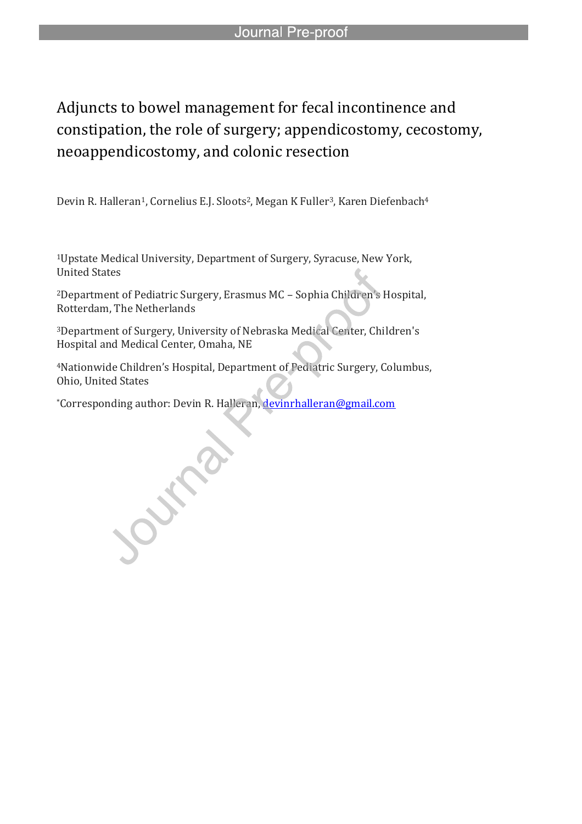# Adjuncts to bowel management for fecal incontinence and constipation, the role of surgery; appendicostomy, cecostomy, neoappendicostomy, and colonic resection

Devin R. Halleran<sup>1</sup>, Cornelius E.J. Sloots<sup>2</sup>, Megan K Fuller<sup>3</sup>, Karen Diefenbach<sup>4</sup>

l

<sup>1</sup>Upstate Medical University, Department of Surgery, Syracuse, New York, United States

<sup>2</sup>Department of Pediatric Surgery, Erasmus MC – Sophia Children's Hospital, Rotterdam, The Netherlands

<sup>3</sup>Department of Surgery, University of Nebraska Medical Center, Children's Hospital and Medical Center, Omaha, NE

<sup>4</sup>Nationwide Children's Hospital, Department of Pediatric Surgery, Columbus, Ohio, United States

\*Corresponding author: Devin R. Halleran, devinrhalleran@gmail.com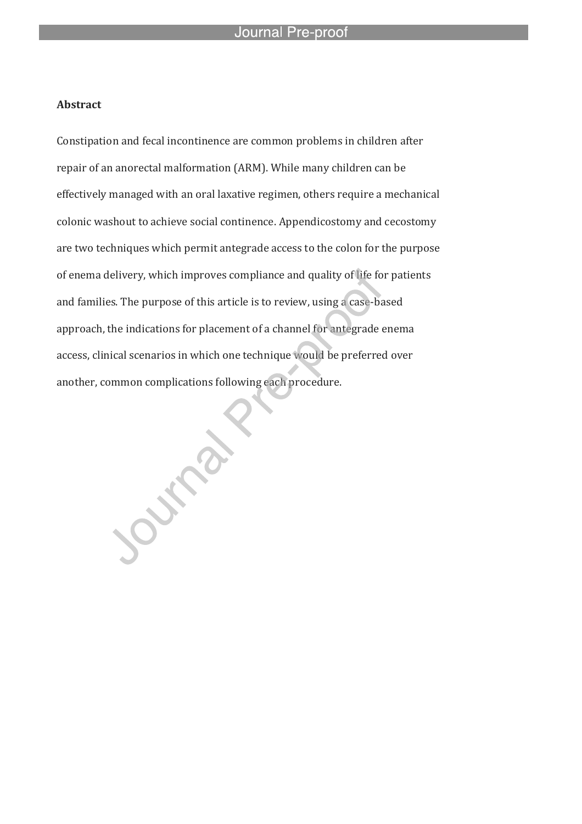### **Abstract**

Constipation and fecal incontinence are common problems in children after repair of an anorectal malformation (ARM). While many children can be effectively managed with an oral laxative regimen, others require a mechanical colonic washout to achieve social continence. Appendicostomy and cecostomy are two techniques which permit antegrade access to the colon for the purpose of enema delivery, which improves compliance and quality of life for patients and families. The purpose of this article is to review, using a case-based approach, the indications for placement of a channel for antegrade enema access, clinical scenarios in which one technique would be preferred over another, common complications following each procedure.

Outside

l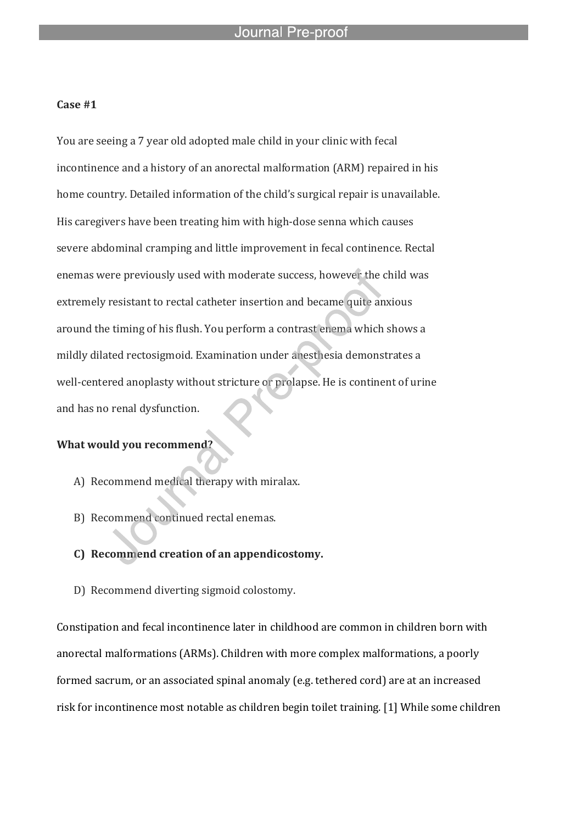l

#### **Case #1**

You are seeing a 7 year old adopted male child in your clinic with fecal incontinence and a history of an anorectal malformation (ARM) repaired in his home country. Detailed information of the child's surgical repair is unavailable. His caregivers have been treating him with high-dose senna which causes severe abdominal cramping and little improvement in fecal continence. Rectal enemas were previously used with moderate success, however the child was extremely resistant to rectal catheter insertion and became quite anxious around the timing of his flush. You perform a contrast enema which shows a mildly dilated rectosigmoid. Examination under anesthesia demonstrates a well-centered anoplasty without stricture or prolapse. He is continent of urine and has no renal dysfunction.

#### **What would you recommend?**

- A) Recommend medical therapy with miralax.
- B) Recommend continued rectal enemas.

### **C) Recommend creation of an appendicostomy.**

D) Recommend diverting sigmoid colostomy.

Constipation and fecal incontinence later in childhood are common in children born with anorectal malformations (ARMs). Children with more complex malformations, a poorly formed sacrum, or an associated spinal anomaly (e.g. tethered cord) are at an increased risk for incontinence most notable as children begin toilet training. [1] While some children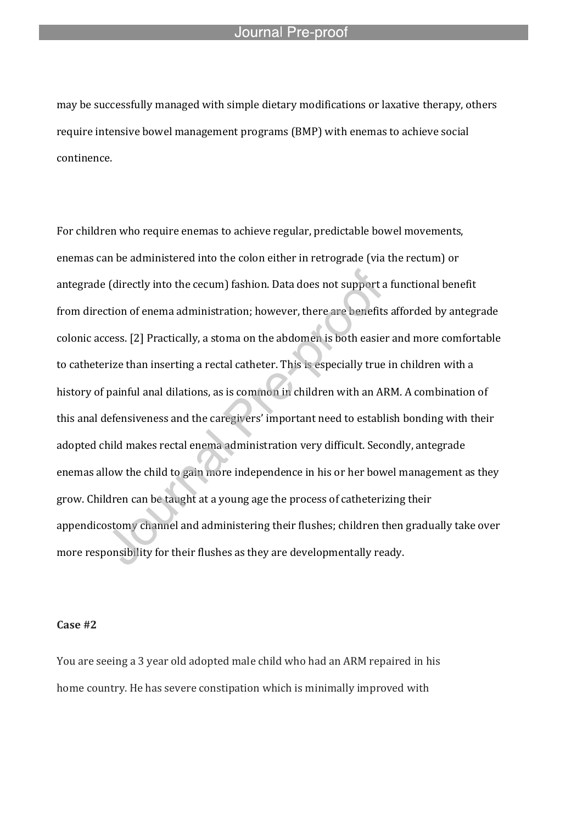l

may be successfully managed with simple dietary modifications or laxative therapy, others require intensive bowel management programs (BMP) with enemas to achieve social continence.

For children who require enemas to achieve regular, predictable bowel movements, enemas can be administered into the colon either in retrograde (via the rectum) or antegrade (directly into the cecum) fashion. Data does not support a functional benefit from direction of enema administration; however, there are benefits afforded by antegrade colonic access. [2] Practically, a stoma on the abdomen is both easier and more comfortable to catheterize than inserting a rectal catheter. This is especially true in children with a history of painful anal dilations, as is common in children with an ARM. A combination of this anal defensiveness and the caregivers' important need to establish bonding with their adopted child makes rectal enema administration very difficult. Secondly, antegrade enemas allow the child to gain more independence in his or her bowel management as they grow. Children can be taught at a young age the process of catheterizing their appendicostomy channel and administering their flushes; children then gradually take over more responsibility for their flushes as they are developmentally ready.

#### **Case #2**

You are seeing a 3 year old adopted male child who had an ARM repaired in his home country. He has severe constipation which is minimally improved with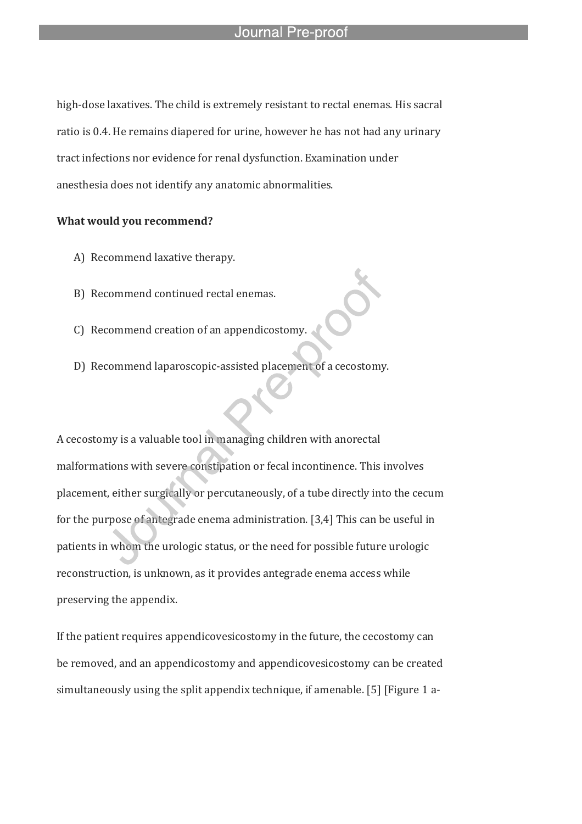high-dose laxatives. The child is extremely resistant to rectal enemas. His sacral ratio is 0.4. He remains diapered for urine, however he has not had any urinary tract infections nor evidence for renal dysfunction. Examination under anesthesia does not identify any anatomic abnormalities.

l

#### **What would you recommend?**

- A) Recommend laxative therapy.
- B) Recommend continued rectal enemas.
- C) Recommend creation of an appendicostomy.
- D) Recommend laparoscopic-assisted placement of a cecostomy.

A cecostomy is a valuable tool in managing children with anorectal malformations with severe constipation or fecal incontinence. This involves placement, either surgically or percutaneously, of a tube directly into the cecum for the purpose of antegrade enema administration. [3,4] This can be useful in patients in whom the urologic status, or the need for possible future urologic reconstruction, is unknown, as it provides antegrade enema access while preserving the appendix.

If the patient requires appendicovesicostomy in the future, the cecostomy can be removed, and an appendicostomy and appendicovesicostomy can be created simultaneously using the split appendix technique, if amenable. [5] [Figure 1 a-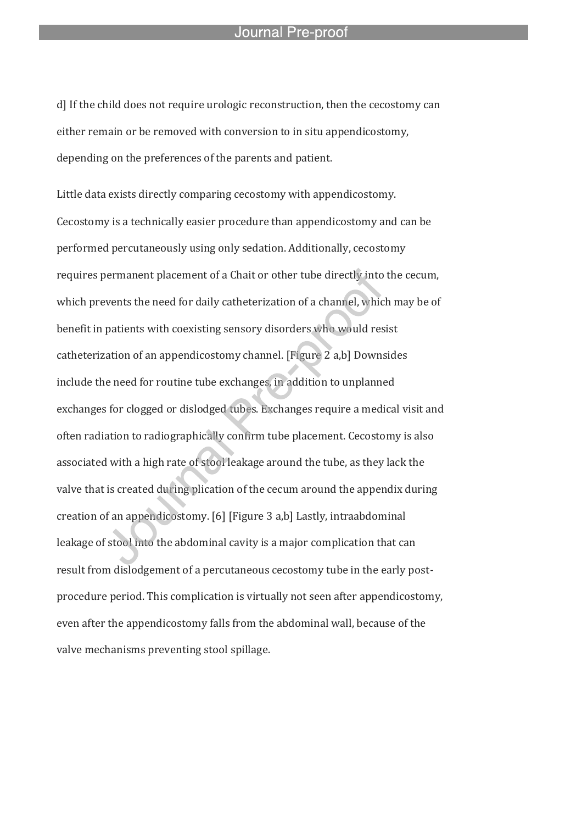d] If the child does not require urologic reconstruction, then the cecostomy can either remain or be removed with conversion to in situ appendicostomy, depending on the preferences of the parents and patient.

l

Little data exists directly comparing cecostomy with appendicostomy. Cecostomy is a technically easier procedure than appendicostomy and can be performed percutaneously using only sedation. Additionally, cecostomy requires permanent placement of a Chait or other tube directly into the cecum, which prevents the need for daily catheterization of a channel, which may be of benefit in patients with coexisting sensory disorders who would resist catheterization of an appendicostomy channel. [Figure 2 a,b] Downsides include the need for routine tube exchanges, in addition to unplanned exchanges for clogged or dislodged tubes. Exchanges require a medical visit and often radiation to radiographically confirm tube placement. Cecostomy is also associated with a high rate of stool leakage around the tube, as they lack the valve that is created during plication of the cecum around the appendix during creation of an appendicostomy. [6] [Figure 3 a,b] Lastly, intraabdominal leakage of stool into the abdominal cavity is a major complication that can result from dislodgement of a percutaneous cecostomy tube in the early postprocedure period. This complication is virtually not seen after appendicostomy, even after the appendicostomy falls from the abdominal wall, because of the valve mechanisms preventing stool spillage.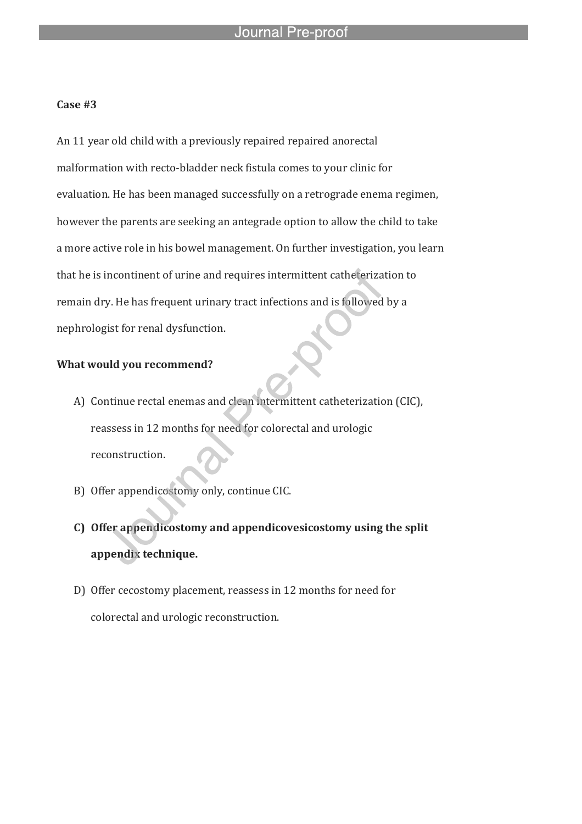#### **Case #3**

An 11 year old child with a previously repaired repaired anorectal malformation with recto-bladder neck fistula comes to your clinic for evaluation. He has been managed successfully on a retrograde enema regimen, however the parents are seeking an antegrade option to allow the child to take a more active role in his bowel management. On further investigation, you learn that he is incontinent of urine and requires intermittent catheterization to remain dry. He has frequent urinary tract infections and is followed by a nephrologist for renal dysfunction.

l

#### **What would you recommend?**

- A) Continue rectal enemas and clean intermittent catheterization (CIC), reassess in 12 months for need for colorectal and urologic reconstruction.
- B) Offer appendicostomy only, continue CIC.
- **C) Offer appendicostomy and appendicovesicostomy using the split appendix technique.**
- D) Offer cecostomy placement, reassess in 12 months for need for colorectal and urologic reconstruction.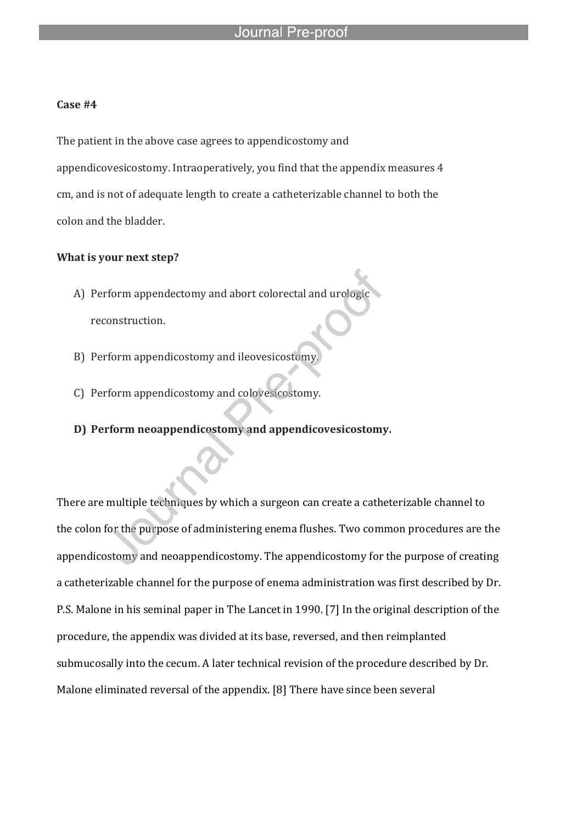#### **Case #4**

The patient in the above case agrees to appendicostomy and appendicovesicostomy. Intraoperatively, you find that the appendix measures 4 cm, and is not of adequate length to create a catheterizable channel to both the colon and the bladder.

#### **What is your next step?**

A) Perform appendectomy and abort colorectal and urologic reconstruction.

l

- B) Perform appendicostomy and ileovesicostomy.
- C) Perform appendicostomy and colovesicostomy.
- **D) Perform neoappendicostomy and appendicovesicostomy.**

There are multiple techniques by which a surgeon can create a catheterizable channel to the colon for the purpose of administering enema flushes. Two common procedures are the appendicostomy and neoappendicostomy. The appendicostomy for the purpose of creating a catheterizable channel for the purpose of enema administration was first described by Dr. P.S. Malone in his seminal paper in The Lancet in 1990. [7] In the original description of the procedure, the appendix was divided at its base, reversed, and then reimplanted submucosally into the cecum. A later technical revision of the procedure described by Dr. Malone eliminated reversal of the appendix. [8] There have since been several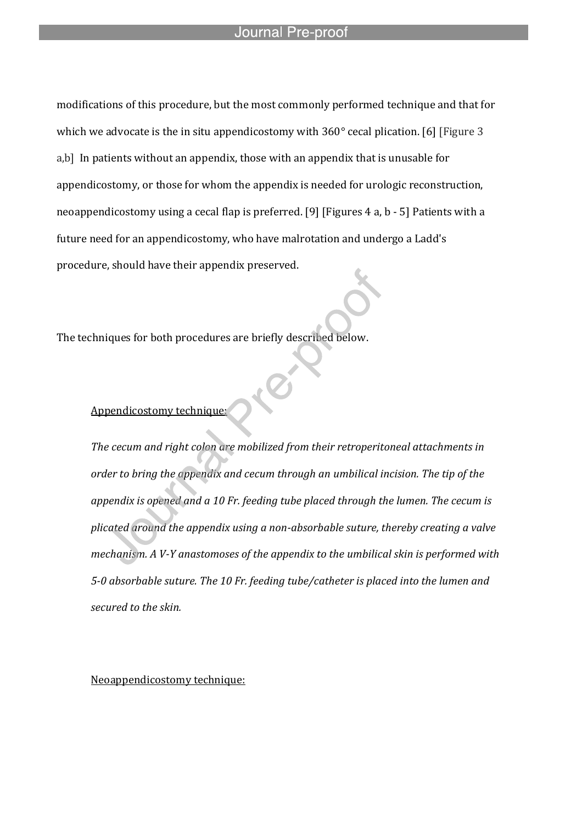modifications of this procedure, but the most commonly performed technique and that for which we advocate is the in situ appendicostomy with  $360^{\circ}$  cecal plication. [6] [Figure 3] a,b] In patients without an appendix, those with an appendix that is unusable for appendicostomy, or those for whom the appendix is needed for urologic reconstruction, neoappendicostomy using a cecal flap is preferred. [9] [Figures 4 a, b - 5] Patients with a future need for an appendicostomy, who have malrotation and undergo a Ladd's procedure, should have their appendix preserved.

The techniques for both procedures are briefly described below.

l

#### Appendicostomy technique:

*The cecum and right colon are mobilized from their retroperitoneal attachments in order to bring the appendix and cecum through an umbilical incision. The tip of the appendix is opened and a 10 Fr. feeding tube placed through the lumen. The cecum is plicated around the appendix using a non-absorbable suture, thereby creating a valve mechanism. A V-Y anastomoses of the appendix to the umbilical skin is performed with 5-0 absorbable suture. The 10 Fr. feeding tube/catheter is placed into the lumen and secured to the skin.*

Neoappendicostomy technique: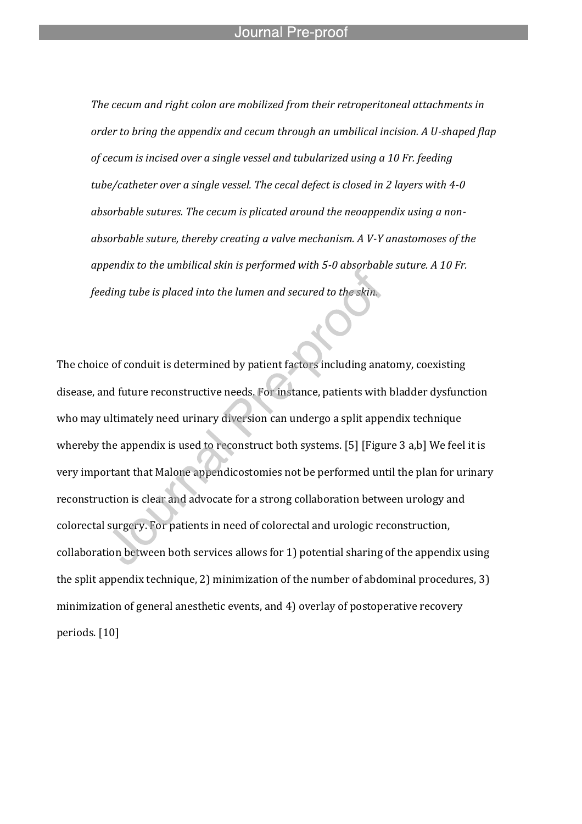l

*The cecum and right colon are mobilized from their retroperitoneal attachments in order to bring the appendix and cecum through an umbilical incision. A U-shaped flap of cecum is incised over a single vessel and tubularized using a 10 Fr. feeding tube/catheter over a single vessel. The cecal defect is closed in 2 layers with 4-0 absorbable sutures. The cecum is plicated around the neoappendix using a nonabsorbable suture, thereby creating a valve mechanism. A V-Y anastomoses of the appendix to the umbilical skin is performed with 5-0 absorbable suture. A 10 Fr. feeding tube is placed into the lumen and secured to the skin.*

The choice of conduit is determined by patient factors including anatomy, coexisting disease, and future reconstructive needs. For instance, patients with bladder dysfunction who may ultimately need urinary diversion can undergo a split appendix technique whereby the appendix is used to reconstruct both systems. [5] [Figure 3 a,b] We feel it is very important that Malone appendicostomies not be performed until the plan for urinary reconstruction is clear and advocate for a strong collaboration between urology and colorectal surgery. For patients in need of colorectal and urologic reconstruction, collaboration between both services allows for 1) potential sharing of the appendix using the split appendix technique, 2) minimization of the number of abdominal procedures, 3) minimization of general anesthetic events, and 4) overlay of postoperative recovery periods. [10]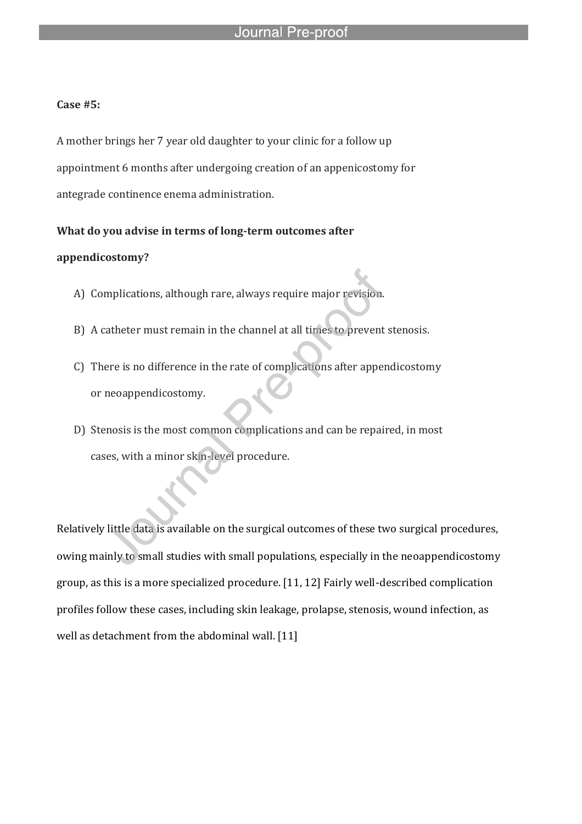### **Case #5:**

A mother brings her 7 year old daughter to your clinic for a follow up appointment 6 months after undergoing creation of an appenicostomy for antegrade continence enema administration.

#### **What do you advise in terms of long-term outcomes after**

l

#### **appendicostomy?**

- A) Complications, although rare, always require major revision.
- B) A catheter must remain in the channel at all times to prevent stenosis.
- C) There is no difference in the rate of complications after appendicostomy or neoappendicostomy.
- D) Stenosis is the most common complications and can be repaired, in most cases, with a minor skin-level procedure.

Relatively little data is available on the surgical outcomes of these two surgical procedures, owing mainly to small studies with small populations, especially in the neoappendicostomy group, as this is a more specialized procedure. [11, 12] Fairly well-described complication profiles follow these cases, including skin leakage, prolapse, stenosis, wound infection, as well as detachment from the abdominal wall. [11]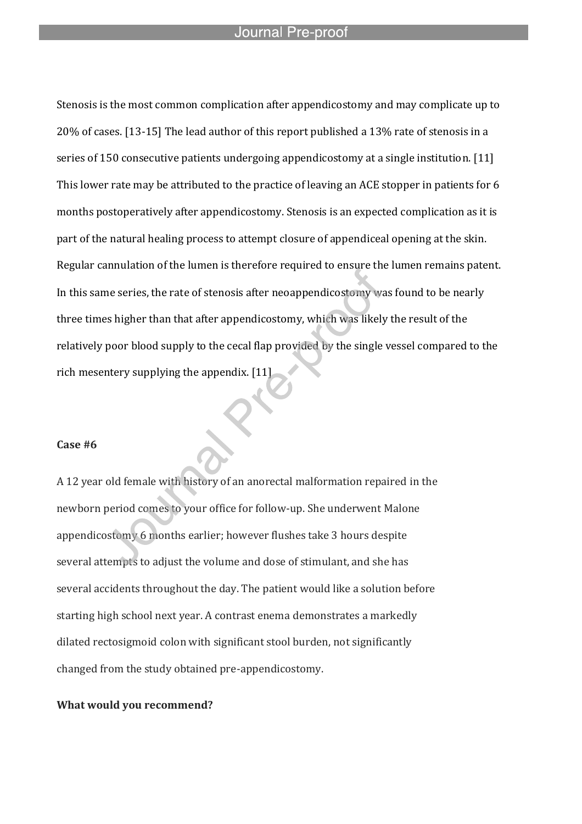l

Stenosis is the most common complication after appendicostomy and may complicate up to 20% of cases. [13-15] The lead author of this report published a 13% rate of stenosis in a series of 150 consecutive patients undergoing appendicostomy at a single institution. [11] This lower rate may be attributed to the practice of leaving an ACE stopper in patients for 6 months postoperatively after appendicostomy. Stenosis is an expected complication as it is part of the natural healing process to attempt closure of appendiceal opening at the skin. Regular cannulation of the lumen is therefore required to ensure the lumen remains patent. In this same series, the rate of stenosis after neoappendicostomy was found to be nearly three times higher than that after appendicostomy, which was likely the result of the relatively poor blood supply to the cecal flap provided by the single vessel compared to the rich mesentery supplying the appendix. [11]

#### **Case #6**

A 12 year old female with history of an anorectal malformation repaired in the newborn period comes to your office for follow-up. She underwent Malone appendicostomy 6 months earlier; however flushes take 3 hours despite several attempts to adjust the volume and dose of stimulant, and she has several accidents throughout the day. The patient would like a solution before starting high school next year. A contrast enema demonstrates a markedly dilated rectosigmoid colon with significant stool burden, not significantly changed from the study obtained pre-appendicostomy.

#### **What would you recommend?**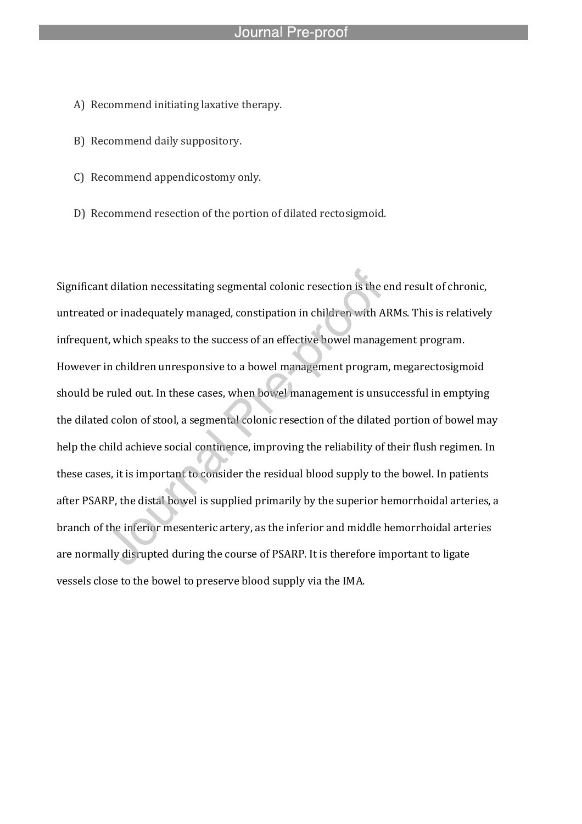A) Recommend initiating laxative therapy.

l

- B) Recommend daily suppository.
- C) Recommend appendicostomy only.
- D) Recommend resection of the portion of dilated rectosigmoid.

Significant dilation necessitating segmental colonic resection is the end result of chronic, untreated or inadequately managed, constipation in children with ARMs. This is relatively infrequent, which speaks to the success of an effective bowel management program. However in children unresponsive to a bowel management program, megarectosigmoid should be ruled out. In these cases, when bowel management is unsuccessful in emptying the dilated colon of stool, a segmental colonic resection of the dilated portion of bowel may help the child achieve social continence, improving the reliability of their flush regimen. In these cases, it is important to consider the residual blood supply to the bowel. In patients after PSARP, the distal bowel is supplied primarily by the superior hemorrhoidal arteries, a branch of the inferior mesenteric artery, as the inferior and middle hemorrhoidal arteries are normally disrupted during the course of PSARP. It is therefore important to ligate vessels close to the bowel to preserve blood supply via the IMA.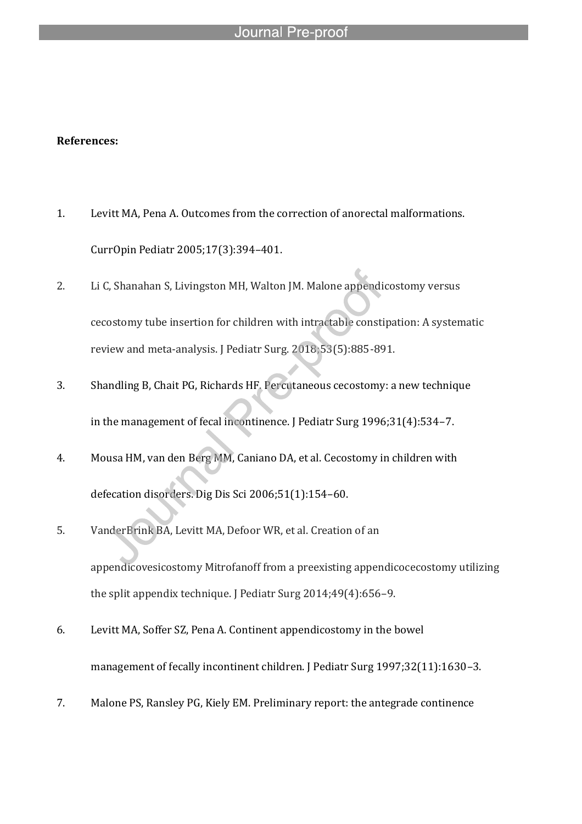l

#### **References:**

- 1. Levitt MA, Pena A. Outcomes from the correction of anorectal malformations. CurrOpin Pediatr 2005;17(3):394–401.
- 2. Li C, Shanahan S, Livingston MH, Walton JM. Malone appendicostomy versus cecostomy tube insertion for children with intractable constipation: A systematic review and meta-analysis. J Pediatr Surg. 2018;53(5):885-891.
- 3. Shandling B, Chait PG, Richards HF. Percutaneous cecostomy: a new technique in the management of fecal incontinence. J Pediatr Surg 1996;31(4):534–7.
- 4. Mousa HM, van den Berg MM, Caniano DA, et al. Cecostomy in children with defecation disorders. Dig Dis Sci 2006;51(1):154–60.
- 5. VanderBrink BA, Levitt MA, Defoor WR, et al. Creation of an appendicovesicostomy Mitrofanoff from a preexisting appendicocecostomy utilizing the split appendix technique. J Pediatr Surg 2014;49(4):656–9.
- 6. Levitt MA, Soffer SZ, Pena A. Continent appendicostomy in the bowel management of fecally incontinent children. J Pediatr Surg 1997;32(11):1630-3.
- 7. Malone PS, Ransley PG, Kiely EM. Preliminary report: the antegrade continence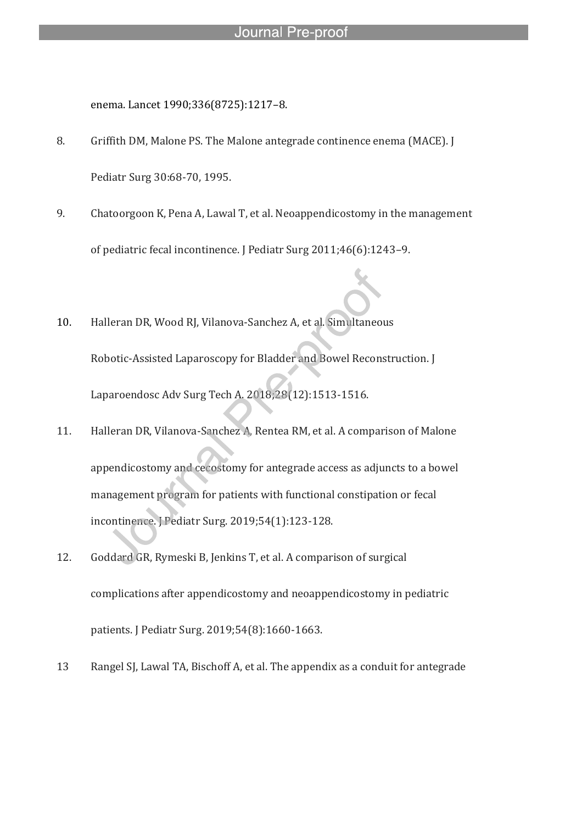enema. Lancet 1990;336(8725):1217–8.

l

- 8. Griffith DM, Malone PS. The Malone antegrade continence enema (MACE). J Pediatr Surg 30:68-70, 1995.
- 9. Chatoorgoon K, Pena A, Lawal T, et al. Neoappendicostomy in the management of pediatric fecal incontinence. J Pediatr Surg 2011;46(6):1243–9.
- 10. Halleran DR, Wood RJ, Vilanova-Sanchez A, et al. Simultaneous Robotic-Assisted Laparoscopy for Bladder and Bowel Reconstruction. J Laparoendosc Adv Surg Tech A. 2018;28(12):1513-1516.
- 11. Halleran DR, Vilanova-Sanchez A, Rentea RM, et al. A comparison of Malone appendicostomy and cecostomy for antegrade access as adjuncts to a bowel management program for patients with functional constipation or fecal incontinence. J Pediatr Surg. 2019;54(1):123-128.
- 12. Goddard GR, Rymeski B, Jenkins T, et al. A comparison of surgical complications after appendicostomy and neoappendicostomy in pediatric patients. J Pediatr Surg. 2019;54(8):1660-1663.
- 13 Rangel SJ, Lawal TA, Bischoff A, et al. The appendix as a conduit for antegrade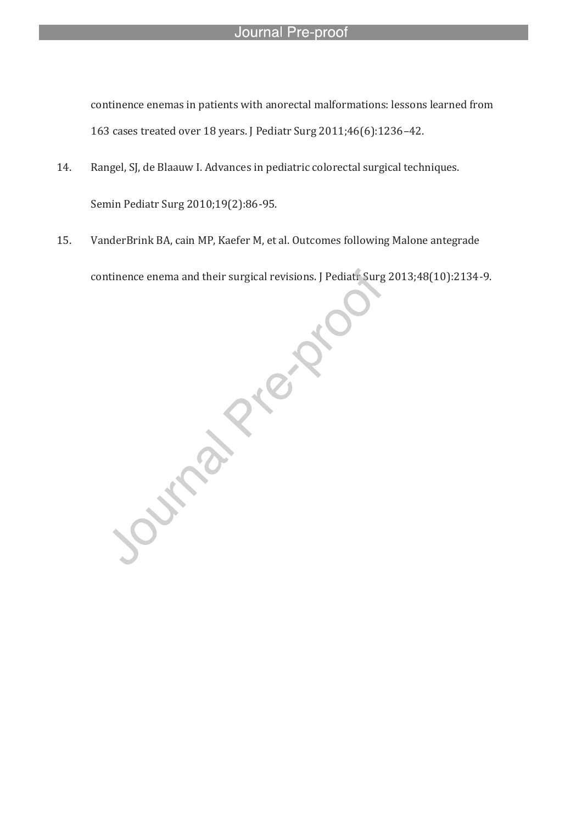continence enemas in patients with anorectal malformations: lessons learned from 163 cases treated over 18 years. J Pediatr Surg 2011;46(6):1236–42.

14. Rangel, SJ, de Blaauw I. Advances in pediatric colorectal surgical techniques. Semin Pediatr Surg 2010;19(2):86-95.

l

15. VanderBrink BA, cain MP, Kaefer M, et al. Outcomes following Malone antegrade continence enema and their surgical revisions. J Pediatr Surg 2013;48(10):2134-9.

**June 21 Procession**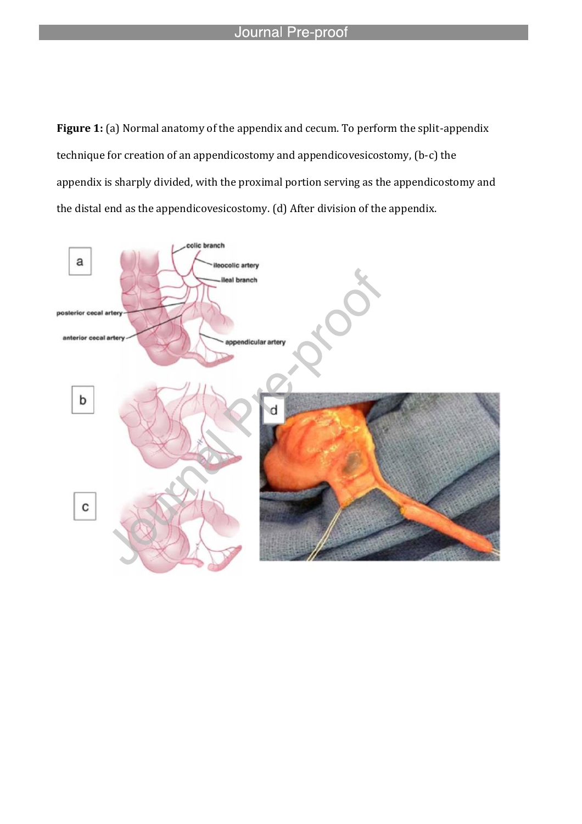l

**Figure 1:** (a) Normal anatomy of the appendix and cecum. To perform the split-appendix technique for creation of an appendicostomy and appendicovesicostomy, (b-c) the appendix is sharply divided, with the proximal portion serving as the appendicostomy and the distal end as the appendicovesicostomy. (d) After division of the appendix.

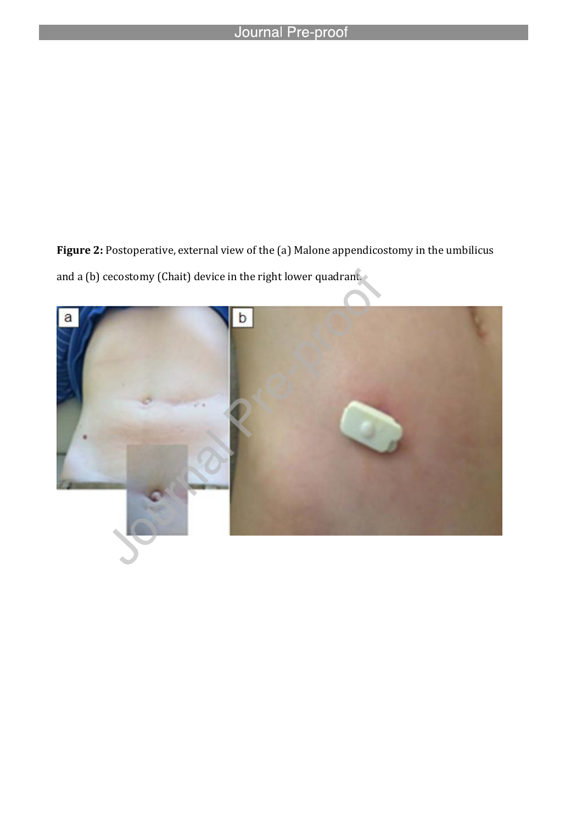l

Figure 2: Postoperative, external view of the (a) Malone appendicostomy in the umbilicus and a (b) cecostomy (Chait) device in the right lower quadrant.

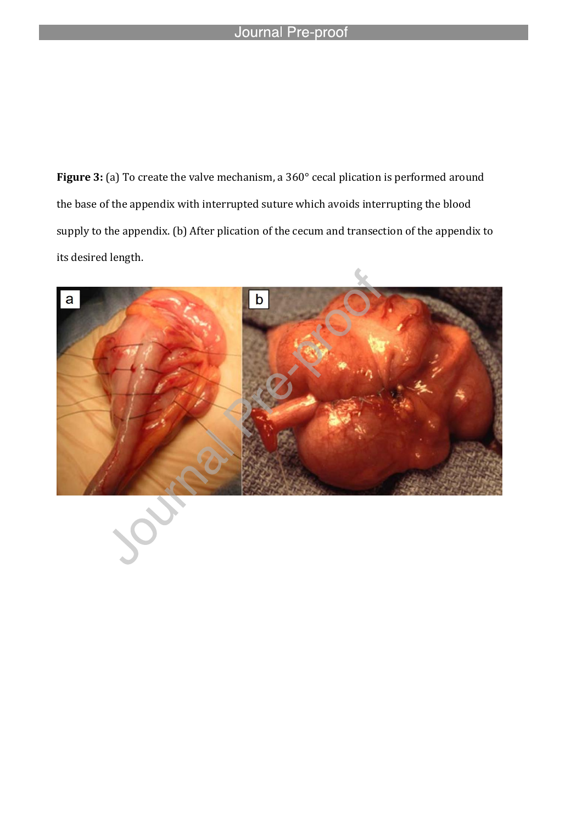l

**Figure 3:** (a) To create the valve mechanism, a 360° cecal plication is performed around the base of the appendix with interrupted suture which avoids interrupting the blood supply to the appendix. (b) After plication of the cecum and transection of the appendix to its desired length.

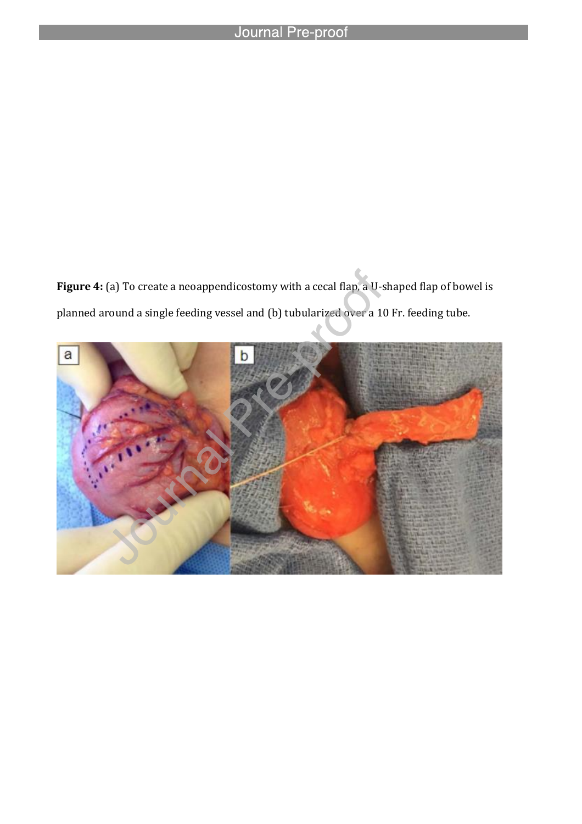l

Figure 4: (a) To create a neoappendicostomy with a cecal flap, a U-shaped flap of bowel is planned around a single feeding vessel and (b) tubularized over a 10 Fr. feeding tube.